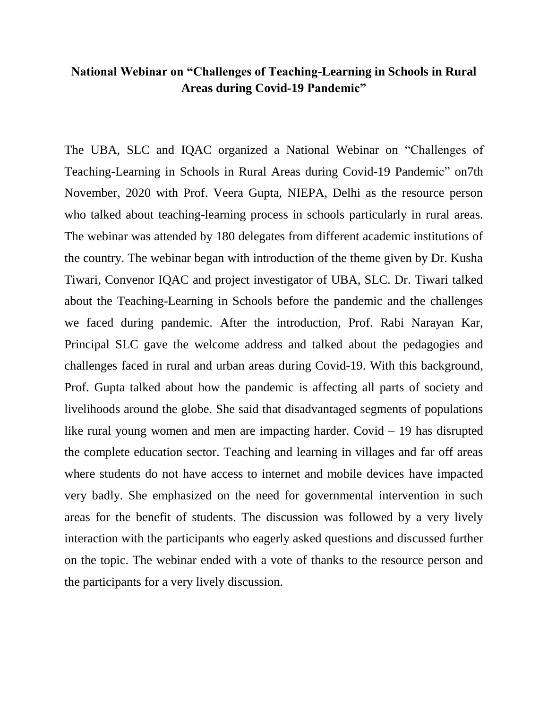#### **National Webinar on "Challenges of Teaching-Learning in Schools in Rural Areas during Covid-19 Pandemic"**

The UBA, SLC and IQAC organized a National Webinar on "Challenges of Teaching-Learning in Schools in Rural Areas during Covid-19 Pandemic" on7th November, 2020 with Prof. Veera Gupta, NIEPA, Delhi as the resource person who talked about teaching-learning process in schools particularly in rural areas. The webinar was attended by 180 delegates from different academic institutions of the country. The webinar began with introduction of the theme given by Dr. Kusha Tiwari, Convenor IQAC and project investigator of UBA, SLC. Dr. Tiwari talked about the Teaching-Learning in Schools before the pandemic and the challenges we faced during pandemic. After the introduction, Prof. Rabi Narayan Kar, Principal SLC gave the welcome address and talked about the pedagogies and challenges faced in rural and urban areas during Covid-19. With this background, Prof. Gupta talked about how the pandemic is affecting all parts of society and livelihoods around the globe. She said that disadvantaged segments of populations like rural young women and men are impacting harder. Covid – 19 has disrupted the complete education sector. Teaching and learning in villages and far off areas where students do not have access to internet and mobile devices have impacted very badly. She emphasized on the need for governmental intervention in such areas for the benefit of students. The discussion was followed by a very lively interaction with the participants who eagerly asked questions and discussed further on the topic. The webinar ended with a vote of thanks to the resource person and the participants for a very lively discussion.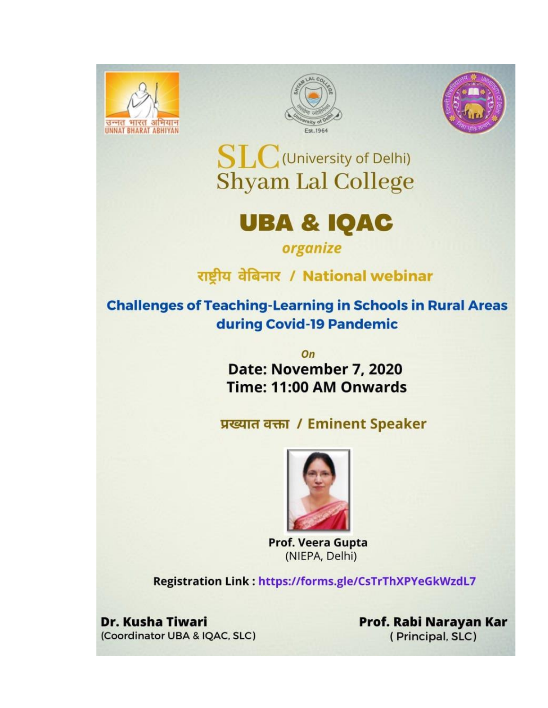





**SLC** (University of Delhi) **Shyam Lal College** 

# **UBA & IQAC**

### organize

## राष्ट्रीय वेबिनार / National webinar

**Challenges of Teaching-Learning in Schools in Rural Areas** during Covid-19 Pandemic

> On Date: November 7, 2020 Time: 11:00 AM Onwards

प्रख्यात वक्ता / Eminent Speaker



**Prof. Veera Gupta** (NIEPA, Delhi)

Registration Link: https://forms.gle/CsTrThXPYeGkWzdL7

**Dr. Kusha Tiwari** (Coordinator UBA & IQAC, SLC) Prof. Rabi Narayan Kar (Principal, SLC)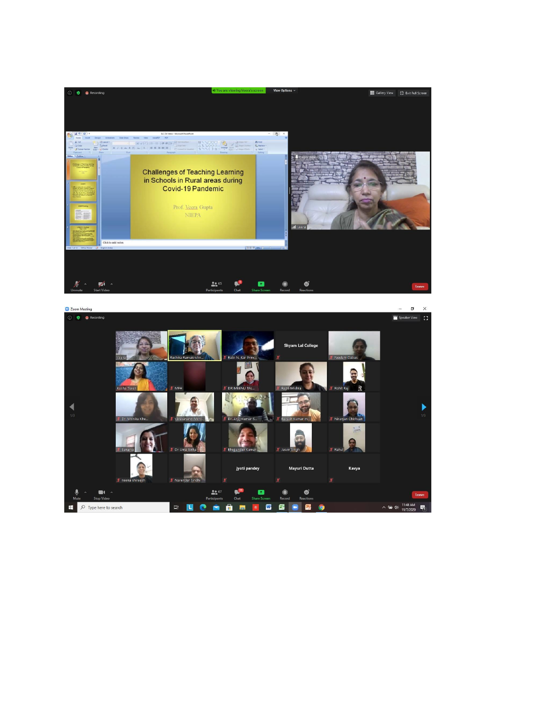